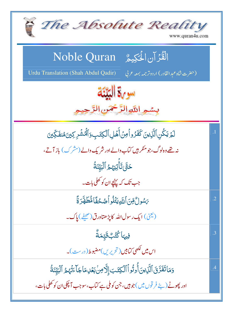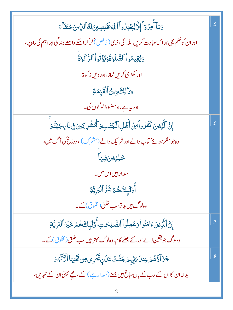| وَمَآ أُمِرُوٓ ٱ إِلَّالِيَعۡبُٰلُواۡ ٱللَّهَ فُخۡلِصِينَ لَهُ ٱلدِّينَ حُنَفَآءَ                      | $\overline{.5}$ |
|--------------------------------------------------------------------------------------------------------|-----------------|
| اور ان کو حکم یہی ہو ا کہ عبادت کریں اللہ کی، نری (خالص ) کر کر اسکے واسطے بند گی ابر اہیم کی راہ پر ، |                 |
| دَيُقِيمُواْ ٱلصَّلَوٰةَ وَيُؤَثُّواْ ٱلزَّكَوٰةَ                                                      |                 |
| اور کھڑی کریں نماز،اور دیں ز کوۃ،                                                                      |                 |
| <u>وَ</u> زَ <sup>ّا</sup> لِكَ دِينُ ٱلۡقَيِّمَةِ                                                     |                 |
| اور بیہ ہے راہ مضبوط لو گوں کی۔                                                                        |                 |
| ٳؚڹؓٱڶؓۯؚؠڹؘػڡۘٙۮۯۅٱڡؚڽۡٲٞۿڸٱڷڮڡۧٮ۪۪ۅؘٱڷۿۺ۫ڔػؚؾؗڹ؋ۣٮ۫ٲٮۣڄۿڐۜۧ؞ٙ                                        | .6              |
| وہ جو منکر ہوئے کتاب دالے اور شریک دالے (مشرک) ، دوزخ کی آگ میں،                                       |                 |
| <u>ځلِلِينَ</u> فِيهَا                                                                                 |                 |
| سدار ہیں اس میں۔                                                                                       |                 |
| ٲٛۏ <i>ٙ</i> ڷؠ۪ڬۿؽٙۺٞڒ۠ٱڷڹۜڔؚؾۜۊ                                                                      |                 |
| وہ <sup>لو</sup> گ#یں بد تر سب خلق(مخلوق) کے                                                           |                 |
| ٳؚڹؖٞٱڷۜڕٛؾؾؘٵڡؘٮؙٛۅٱۅٙعَڢؚڶٛۅٱٲڶڟۜٮڸٸؾؚٲ۠ٛٷڶؠؘٟڬۿؽٙڂؘؽۯٵڷڹڔؚؾۊ                                        | $\overline{.7}$ |
| وہ لوگ جو یقین لائے اور کئے بھلے کام،وہ لوگ بہتر ہیں سب خلق (مخلوق) کے۔                                |                 |
| جَزَ آؤُهُمۡ عِندَا مَايِّهِمۡ جَنَّتَتُ عَدۡنِ بَجۡرِى مِن تَخۡتِهَا ٱلۡأَنۡهَـٰرُ                    | $\overline{8}$  |
| بدلہ ان کاان کے رب کے ہاں،باغ ہیں یسے (سدارینے ) کے، پنچے بہتی ان کے نہریں،                            |                 |